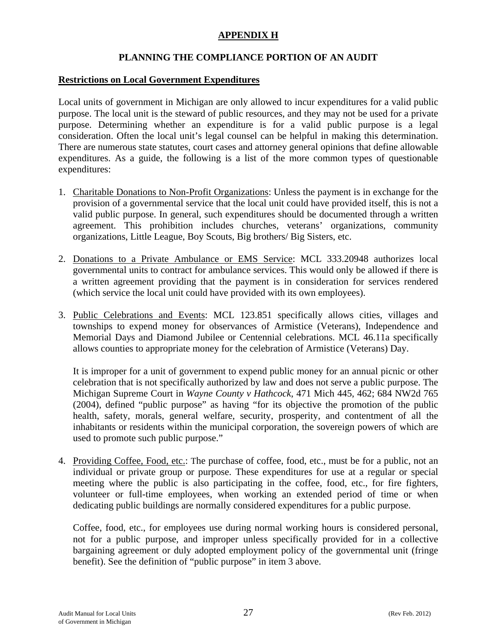# **APPENDIX H**

# **PLANNING THE COMPLIANCE PORTION OF AN AUDIT**

#### **Restrictions on Local Government Expenditures**

Local units of government in Michigan are only allowed to incur expenditures for a valid public purpose. The local unit is the steward of public resources, and they may not be used for a private purpose. Determining whether an expenditure is for a valid public purpose is a legal consideration. Often the local unit's legal counsel can be helpful in making this determination. There are numerous state statutes, court cases and attorney general opinions that define allowable expenditures. As a guide, the following is a list of the more common types of questionable expenditures:

- 1. Charitable Donations to Non-Profit Organizations: Unless the payment is in exchange for the provision of a governmental service that the local unit could have provided itself, this is not a valid public purpose. In general, such expenditures should be documented through a written agreement. This prohibition includes churches, veterans' organizations, community organizations, Little League, Boy Scouts, Big brothers/ Big Sisters, etc.
- 2. Donations to a Private Ambulance or EMS Service: MCL 333.20948 authorizes local governmental units to contract for ambulance services. This would only be allowed if there is a written agreement providing that the payment is in consideration for services rendered (which service the local unit could have provided with its own employees).
- 3. Public Celebrations and Events: MCL 123.851 specifically allows cities, villages and townships to expend money for observances of Armistice (Veterans), Independence and Memorial Days and Diamond Jubilee or Centennial celebrations. MCL 46.11a specifically allows counties to appropriate money for the celebration of Armistice (Veterans) Day.

It is improper for a unit of government to expend public money for an annual picnic or other celebration that is not specifically authorized by law and does not serve a public purpose. The Michigan Supreme Court in *Wayne County v Hathcock*, 471 Mich 445, 462; 684 NW2d 765 (2004), defined "public purpose" as having "for its objective the promotion of the public health, safety, morals, general welfare, security, prosperity, and contentment of all the inhabitants or residents within the municipal corporation, the sovereign powers of which are used to promote such public purpose."

4. Providing Coffee, Food, etc.: The purchase of coffee, food, etc., must be for a public, not an individual or private group or purpose. These expenditures for use at a regular or special meeting where the public is also participating in the coffee, food, etc., for fire fighters, volunteer or full-time employees, when working an extended period of time or when dedicating public buildings are normally considered expenditures for a public purpose.

Coffee, food, etc., for employees use during normal working hours is considered personal, not for a public purpose, and improper unless specifically provided for in a collective bargaining agreement or duly adopted employment policy of the governmental unit (fringe benefit). See the definition of "public purpose" in item 3 above.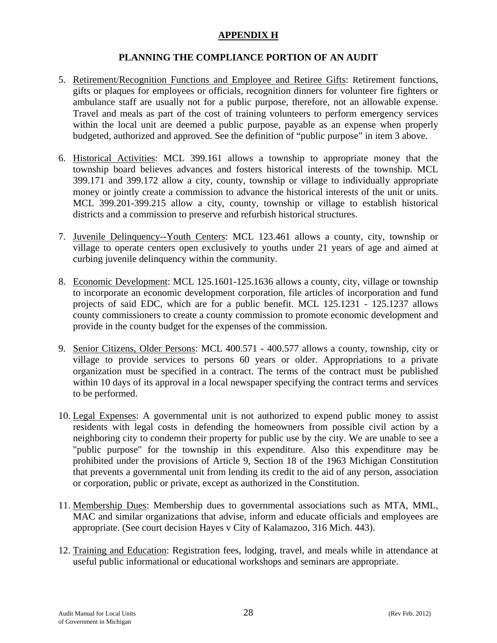# **APPENDIX H**

## **PLANNING THE COMPLIANCE PORTION OF AN AUDIT**

- 5. Retirement/Recognition Functions and Employee and Retiree Gifts: Retirement functions, gifts or plaques for employees or officials, recognition dinners for volunteer fire fighters or ambulance staff are usually not for a public purpose, therefore, not an allowable expense. Travel and meals as part of the cost of training volunteers to perform emergency services within the local unit are deemed a public purpose, payable as an expense when properly budgeted, authorized and approved. See the definition of "public purpose" in item 3 above.
- 6. Historical Activities: MCL 399.161 allows a township to appropriate money that the township board believes advances and fosters historical interests of the township. MCL 399.171 and 399.172 allow a city, county, township or village to individually appropriate money or jointly create a commission to advance the historical interests of the unit or units. MCL 399.201-399.215 allow a city, county, township or village to establish historical districts and a commission to preserve and refurbish historical structures.
- 7. Juvenile Delinquency--Youth Centers: MCL 123.461 allows a county, city, township or village to operate centers open exclusively to youths under 21 years of age and aimed at curbing juvenile delinquency within the community.
- 8. Economic Development: MCL 125.1601-125.1636 allows a county, city, village or township to incorporate an economic development corporation, file articles of incorporation and fund projects of said EDC, which are for a public benefit. MCL 125.1231 - 125.1237 allows county commissioners to create a county commission to promote economic development and provide in the county budget for the expenses of the commission.
- 9. Senior Citizens, Older Persons: MCL 400.571 400.577 allows a county, township, city or village to provide services to persons 60 years or older. Appropriations to a private organization must be specified in a contract. The terms of the contract must be published within 10 days of its approval in a local newspaper specifying the contract terms and services to be performed.
- 10. Legal Expenses: A governmental unit is not authorized to expend public money to assist residents with legal costs in defending the homeowners from possible civil action by a neighboring city to condemn their property for public use by the city. We are unable to see a "public purpose" for the township in this expenditure. Also this expenditure may be prohibited under the provisions of Article 9, Section 18 of the 1963 Michigan Constitution that prevents a governmental unit from lending its credit to the aid of any person, association or corporation, public or private, except as authorized in the Constitution.
- 11. Membership Dues: Membership dues to governmental associations such as MTA, MML, MAC and similar organizations that advise, inform and educate officials and employees are appropriate. (See court decision Hayes v City of Kalamazoo, 316 Mich. 443).
- 12. Training and Education: Registration fees, lodging, travel, and meals while in attendance at useful public informational or educational workshops and seminars are appropriate.